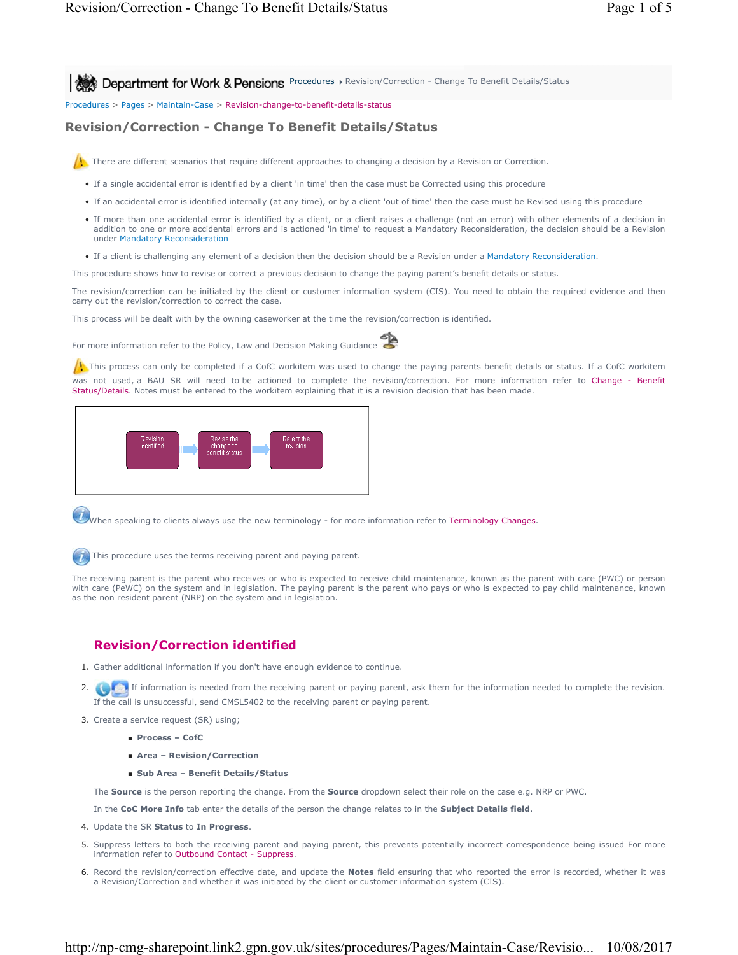**Procedures Revision/Correction - Change To Benefit Details/Status** Procedures Procedures Provision/Correction - Change To Benefit Details/Status

Procedures > Pages > Maintain-Case > Revision-change-to-benefit-details-status

## **Revision/Correction - Change To Benefit Details/Status**



There are different scenarios that require different approaches to changing a decision by a Revision or Correction.

- If a single accidental error is identified by a client 'in time' then the case must be Corrected using this procedure
- If an accidental error is identified internally (at any time), or by a client 'out of time' then the case must be Revised using this procedure
- If more than one accidental error is identified by a client, or a client raises a challenge (not an error) with other elements of a decision in addition to one or more accidental errors and is actioned 'in time' to request a Mandatory Reconsideration, the decision should be a Revision under Mandatory Reconsideration
- If a client is challenging any element of a decision then the decision should be a Revision under a Mandatory Reconsideration.

This procedure shows how to revise or correct a previous decision to change the paying parent's benefit details or status.

The revision/correction can be initiated by the client or customer information system (CIS). You need to obtain the required evidence and then carry out the revision/correction to correct the case.

This process will be dealt with by the owning caseworker at the time the revision/correction is identified.

For more information refer to the Policy, Law and Decision Making Guidance



 $\Lambda$ . This process can only be completed if a CofC workitem was used to change the paying parents benefit details or status. If a CofC workitem was not used, a BAU SR will need to be actioned to complete the revision/correction. For more information refer to Change - Benefit Status/Details. Notes must be entered to the workitem explaining that it is a revision decision that has been made.



When speaking to clients always use the new terminology - for more information refer to Terminology Changes.

This procedure uses the terms receiving parent and paying parent.

The receiving parent is the parent who receives or who is expected to receive child maintenance, known as the parent with care (PWC) or person with care (PeWC) on the system and in legislation. The paying parent is the parent who pays or who is expected to pay child maintenance, known as the non resident parent (NRP) on the system and in legislation.

## **Revision/Correction identified**

- 1. Gather additional information if you don't have enough evidence to continue.
- 2. **If information is needed from the receiving parent or paying parent, ask them for the information needed to complete the revision.** If the call is unsuccessful, send CMSL5402 to the receiving parent or paying parent.
- 3. Create a service request (SR) using;
	- **Process CofC**
	- **Area Revision/Correction**
	- **Sub Area Benefit Details/Status**

The **Source** is the person reporting the change. From the **Source** dropdown select their role on the case e.g. NRP or PWC.

In the **CoC More Info** tab enter the details of the person the change relates to in the **Subject Details field**.

- 4. Update the SR **Status** to **In Progress**.
- 5. Suppress letters to both the receiving parent and paying parent, this prevents potentially incorrect correspondence being issued For more information refer to Outbound Contact - Suppress.
- 6. Record the revision/correction effective date, and update the **Notes** field ensuring that who reported the error is recorded, whether it was a Revision/Correction and whether it was initiated by the client or customer information system (CIS).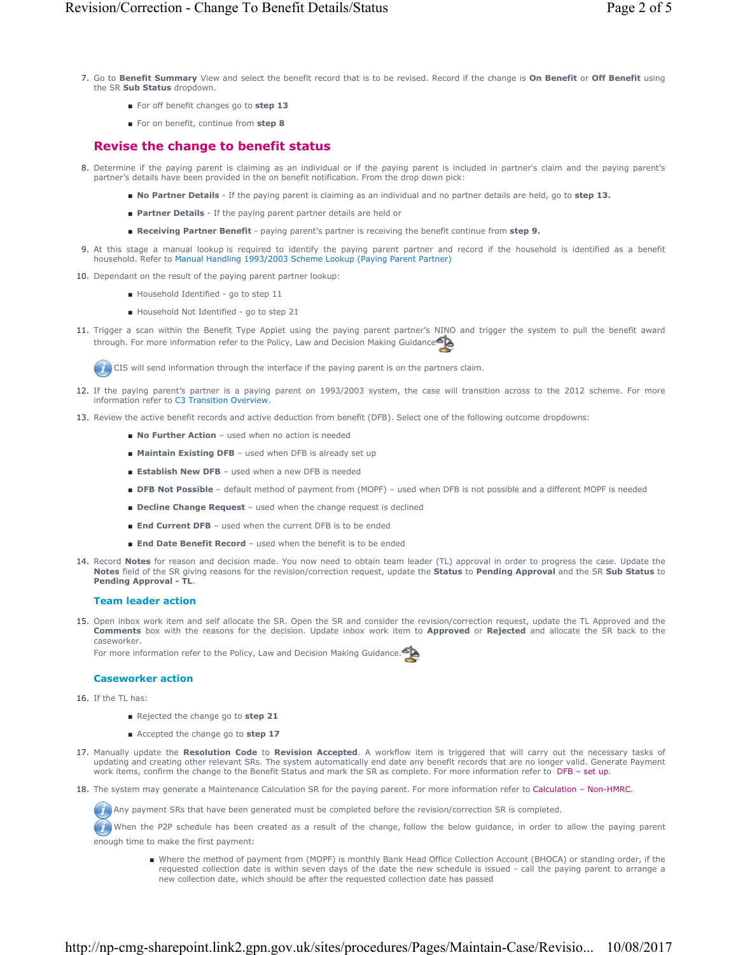- Go to **Benefit Summary** View and select the benefit record that is to be revised. Record if the change is **On Benefit** or **Off Benefit** using 7. the SR **Sub Status** dropdown.
	- For off benefit changes go to **step 13**
	- For on benefit, continue from step 8

# **Revise the change to benefit status**

- Determine if the paying parent is claiming as an individual or if the paying parent is included in partner's claim and the paying parent's 8. partner's details have been provided in the on benefit notification. From the drop down pick:
	- **No Partner Details** If the paying parent is claiming as an individual and no partner details are held, go to **step 13.**
	- **Partner Details** If the paying parent partner details are held or
	- **Receiving Partner Benefit** paying parent's partner is receiving the benefit continue from **step 9.**
- At this stage a manual lookup is required to identify the paying parent partner and record if the household is identified as a benefit 9. household. Refer to Manual Handling 1993/2003 Scheme Lookup (Paying Parent Partner)
- 10. Dependant on the result of the paying parent partner lookup:
	- Household Identified go to step 11
	- Household Not Identified go to step 21
- 11. Trigger a scan within the Benefit Type Applet using the paying parent partner's NINO and trigger the system to pull the benefit award through. For more information refer to the Policy, Law and Decision Making Guidance

CIS will send information through the interface if the paying parent is on the partners claim.

- 12. If the paying parent's partner is a paying parent on 1993/2003 system, the case will transition across to the 2012 scheme. For more information refer to C3 Transition Overview.
- 13. Review the active benefit records and active deduction from benefit (DFB). Select one of the following outcome dropdowns:
	- **No Further Action** used when no action is needed
	- Maintain Existing DFB used when DFB is already set up
	- **Establish New DFB** used when a new DFB is needed
	- **DFB Not Possible** default method of payment from (MOPF) used when DFB is not possible and a different MOPF is needed
	- **Decline Change Request** used when the change request is declined
	- **End Current DFB** used when the current DFB is to be ended
	- **End Date Benefit Record** used when the benefit is to be ended
- 14. Record **Notes** for reason and decision made. You now need to obtain team leader (TL) approval in order to progress the case. Update the **Notes** field of the SR giving reasons for the revision/correction request, update the **Status** to **Pending Approval** and the SR **Sub Status** to **Pending Approval - TL**.

## **Team leader action**

15. Open inbox work item and self allocate the SR. Open the SR and consider the revision/correction request, update the TL Approved and the **Comments** box with the reasons for the decision. Update inbox work item to **Approved** or **Rejected** and allocate the SR back to the caseworker.

For more information refer to the Policy, Law and Decision Making Guidance.

## **Caseworker action**

- 16. If the TL has:
	- Rejected the change go to **step 21**
	- Accepted the change go to **step 17**
- 17. Manually update the Resolution Code to Revision Accepted. A workflow item is triggered that will carry out the necessary tasks of updating and creating other relevant SRs. The system automatically end date any benefit records that are no longer valid. Generate Payment work items, confirm the change to the Benefit Status and mark the SR as complete. For more information refer to DFB - set up.
- 18. The system may generate a Maintenance Calculation SR for the paying parent. For more information refer to Calculation Non-HMRC.

Any payment SRs that have been generated must be completed before the revision/correction SR is completed.

When the P2P schedule has been created as a result of the change, follow the below guidance, in order to allow the paying parent enough time to make the first payment:

■ Where the method of payment from (MOPF) is monthly Bank Head Office Collection Account (BHOCA) or standing order, if the requested collection date is within seven days of the date the new schedule is issued - call the paying parent to arrange a new collection date, which should be after the requested collection date has passed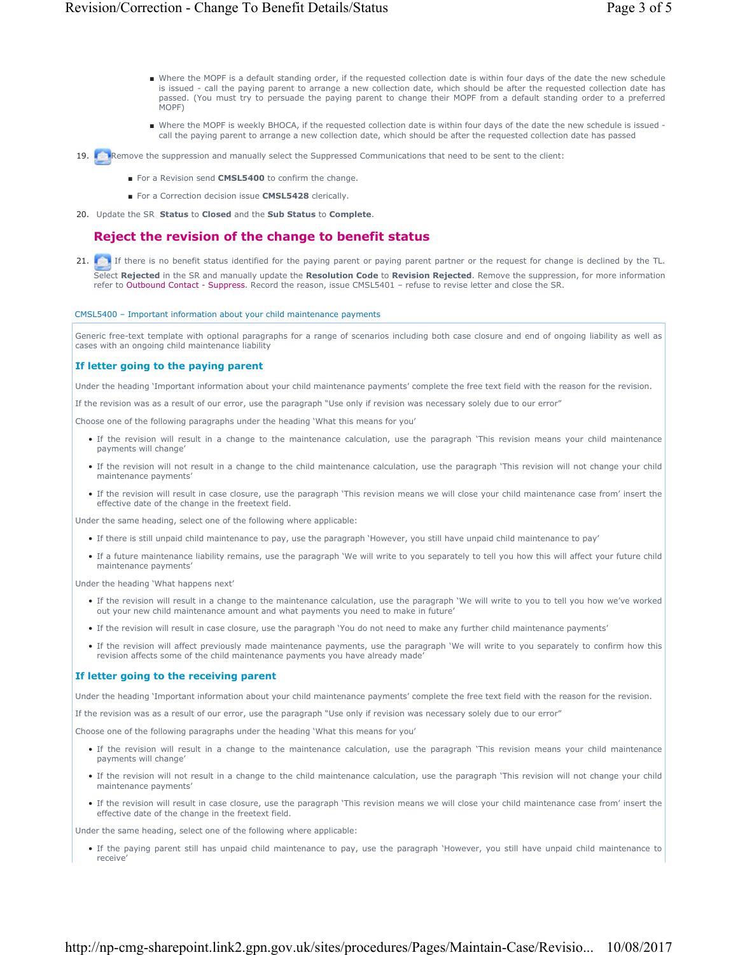- Where the MOPF is a default standing order, if the requested collection date is within four days of the date the new schedule is issued - call the paying parent to arrange a new collection date, which should be after the requested collection date has passed. (You must try to persuade the paying parent to change their MOPF from a default standing order to a preferred MOPF)
- Where the MOPF is weekly BHOCA, if the requested collection date is within four days of the date the new schedule is issued call the paying parent to arrange a new collection date, which should be after the requested collection date has passed
- 19. **Remove the suppression and manually select the Suppressed Communications that need to be sent to the client:** 
	- For a Revision send **CMSL5400** to confirm the change.
	- For a Correction decision issue **CMSL5428** clerically.
- 20. Update the SR **Status** to **Closed** and the **Sub Status** to **Complete**.

## **Reject the revision of the change to benefit status**

21. If there is no benefit status identified for the paying parent or paying parent partner or the request for change is declined by the TL. Select **Rejected** in the SR and manually update the **Resolution Code** to **Revision Rejected**. Remove the suppression, for more information refer to Outbound Contact - Suppress. Record the reason, issue CMSL5401 – refuse to revise letter and close the SR.

### CMSL5400 – Important information about your child maintenance payments

Generic free-text template with optional paragraphs for a range of scenarios including both case closure and end of ongoing liability as well as cases with an ongoing child maintenance liability

### **If letter going to the paying parent**

Under the heading 'Important information about your child maintenance payments' complete the free text field with the reason for the revision.

If the revision was as a result of our error, use the paragraph "Use only if revision was necessary solely due to our error"

Choose one of the following paragraphs under the heading 'What this means for you'

- If the revision will result in a change to the maintenance calculation, use the paragraph 'This revision means your child maintenance payments will change'
- If the revision will not result in a change to the child maintenance calculation, use the paragraph 'This revision will not change your child maintenance payments'
- If the revision will result in case closure, use the paragraph 'This revision means we will close your child maintenance case from' insert the effective date of the change in the freetext field.

Under the same heading, select one of the following where applicable:

- If there is still unpaid child maintenance to pay, use the paragraph 'However, you still have unpaid child maintenance to pay'
- If a future maintenance liability remains, use the paragraph 'We will write to you separately to tell you how this will affect your future child maintenance payments'

Under the heading 'What happens next'

- If the revision will result in a change to the maintenance calculation, use the paragraph 'We will write to you to tell you how we've worked out your new child maintenance amount and what payments you need to make in future'
- If the revision will result in case closure, use the paragraph 'You do not need to make any further child maintenance payments'
- If the revision will affect previously made maintenance payments, use the paragraph 'We will write to you separately to confirm how this revision affects some of the child maintenance payments you have already made'

### **If letter going to the receiving parent**

Under the heading 'Important information about your child maintenance payments' complete the free text field with the reason for the revision.

If the revision was as a result of our error, use the paragraph "Use only if revision was necessary solely due to our error"

Choose one of the following paragraphs under the heading 'What this means for you'

- If the revision will result in a change to the maintenance calculation, use the paragraph 'This revision means your child maintenance payments will change'
- If the revision will not result in a change to the child maintenance calculation, use the paragraph 'This revision will not change your child maintenance payments'
- If the revision will result in case closure, use the paragraph 'This revision means we will close your child maintenance case from' insert the effective date of the change in the freetext field.

Under the same heading, select one of the following where applicable:

• If the paying parent still has unpaid child maintenance to pay, use the paragraph 'However, you still have unpaid child maintenance to receive'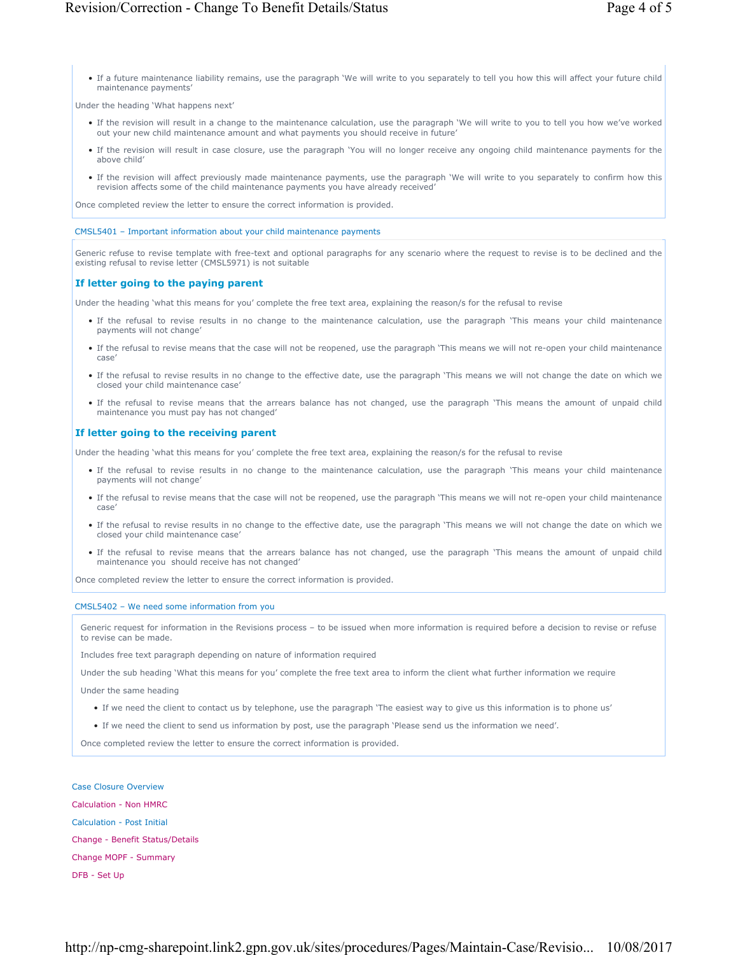• If a future maintenance liability remains, use the paragraph 'We will write to you separately to tell you how this will affect your future child maintenance payments'

Under the heading 'What happens next'

- If the revision will result in a change to the maintenance calculation, use the paragraph 'We will write to you to tell you how we've worked out your new child maintenance amount and what payments you should receive in future'
- If the revision will result in case closure, use the paragraph 'You will no longer receive any ongoing child maintenance payments for the above child'
- If the revision will affect previously made maintenance payments, use the paragraph 'We will write to you separately to confirm how this revision affects some of the child maintenance payments you have already received'

Once completed review the letter to ensure the correct information is provided.

#### CMSL5401 – Important information about your child maintenance payments

Generic refuse to revise template with free-text and optional paragraphs for any scenario where the request to revise is to be declined and the existing refusal to revise letter (CMSL5971) is not suitable

### **If letter going to the paying parent**

Under the heading 'what this means for you' complete the free text area, explaining the reason/s for the refusal to revise

- If the refusal to revise results in no change to the maintenance calculation, use the paragraph 'This means your child maintenance payments will not change'
- If the refusal to revise means that the case will not be reopened, use the paragraph 'This means we will not re-open your child maintenance case'
- If the refusal to revise results in no change to the effective date, use the paragraph 'This means we will not change the date on which we closed your child maintenance case'
- If the refusal to revise means that the arrears balance has not changed, use the paragraph 'This means the amount of unpaid child maintenance you must pay has not changed'

### **If letter going to the receiving parent**

Under the heading 'what this means for you' complete the free text area, explaining the reason/s for the refusal to revise

- If the refusal to revise results in no change to the maintenance calculation, use the paragraph 'This means your child maintenance payments will not change'
- If the refusal to revise means that the case will not be reopened, use the paragraph 'This means we will not re-open your child maintenance case'
- If the refusal to revise results in no change to the effective date, use the paragraph 'This means we will not change the date on which we closed your child maintenance case'
- If the refusal to revise means that the arrears balance has not changed, use the paragraph 'This means the amount of unpaid child maintenance you should receive has not changed'

Once completed review the letter to ensure the correct information is provided.

#### CMSL5402 – We need some information from you

Generic request for information in the Revisions process – to be issued when more information is required before a decision to revise or refuse to revise can be made.

Includes free text paragraph depending on nature of information required

Under the sub heading 'What this means for you' complete the free text area to inform the client what further information we require

Under the same heading

- If we need the client to contact us by telephone, use the paragraph 'The easiest way to give us this information is to phone us'
- If we need the client to send us information by post, use the paragraph 'Please send us the information we need'.

Once completed review the letter to ensure the correct information is provided.

### Case Closure Overview

Calculation - Non HMRC Calculation - Post Initial Change - Benefit Status/Details Change MOPF - Summary DFB - Set Up